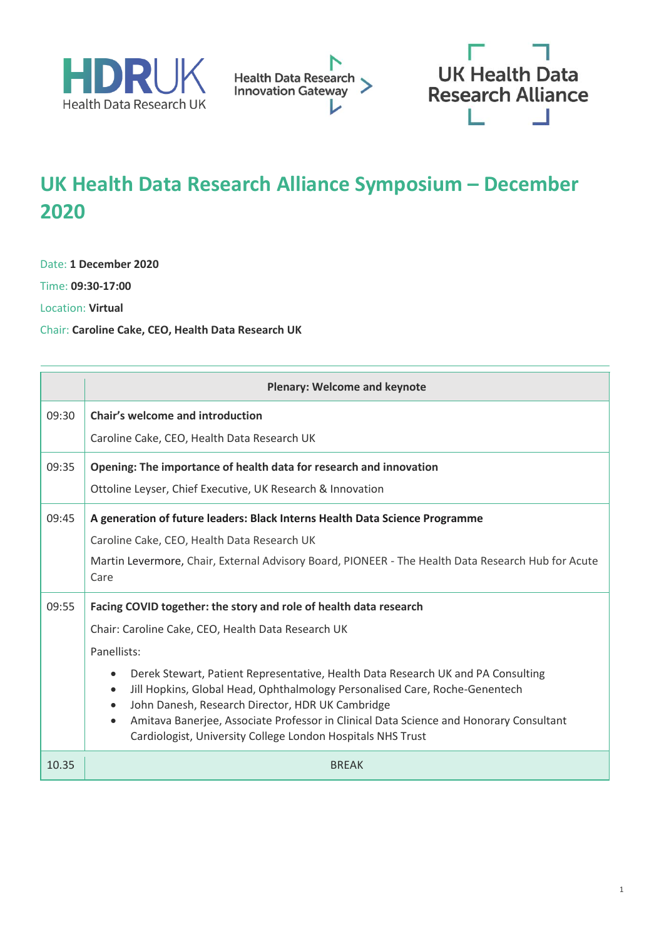





## **UK Health Data Research Alliance Symposium – December 2020**

Date: **1 December 2020**

Time: **09:30-17:00**

Location: **Virtual**

Chair: **Caroline Cake, CEO, Health Data Research UK**

|       | <b>Plenary: Welcome and keynote</b>                                                                                                                                                                                                                                                                                                                                                                                                                                                                                                                                        |  |  |
|-------|----------------------------------------------------------------------------------------------------------------------------------------------------------------------------------------------------------------------------------------------------------------------------------------------------------------------------------------------------------------------------------------------------------------------------------------------------------------------------------------------------------------------------------------------------------------------------|--|--|
| 09:30 | <b>Chair's welcome and introduction</b><br>Caroline Cake, CEO, Health Data Research UK                                                                                                                                                                                                                                                                                                                                                                                                                                                                                     |  |  |
| 09:35 | Opening: The importance of health data for research and innovation<br>Ottoline Leyser, Chief Executive, UK Research & Innovation                                                                                                                                                                                                                                                                                                                                                                                                                                           |  |  |
| 09:45 | A generation of future leaders: Black Interns Health Data Science Programme<br>Caroline Cake, CEO, Health Data Research UK<br>Martin Levermore, Chair, External Advisory Board, PIONEER - The Health Data Research Hub for Acute<br>Care                                                                                                                                                                                                                                                                                                                                   |  |  |
| 09:55 | Facing COVID together: the story and role of health data research<br>Chair: Caroline Cake, CEO, Health Data Research UK<br>Panellists:<br>Derek Stewart, Patient Representative, Health Data Research UK and PA Consulting<br>$\bullet$<br>Jill Hopkins, Global Head, Ophthalmology Personalised Care, Roche-Genentech<br>$\bullet$<br>John Danesh, Research Director, HDR UK Cambridge<br>$\bullet$<br>Amitava Banerjee, Associate Professor in Clinical Data Science and Honorary Consultant<br>$\bullet$<br>Cardiologist, University College London Hospitals NHS Trust |  |  |
| 10.35 | <b>BREAK</b>                                                                                                                                                                                                                                                                                                                                                                                                                                                                                                                                                               |  |  |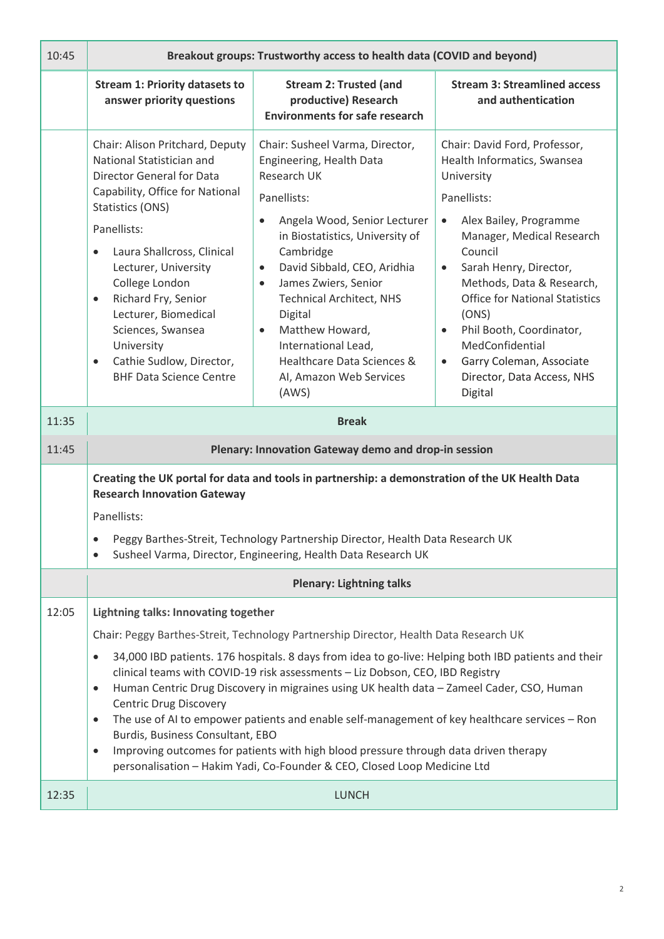| 10:45 | Breakout groups: Trustworthy access to health data (COVID and beyond)                                                                                                                                                                                                                                                                                                                                                                                                                                                                                                                                                                                                                                                                                                                                             |                                                                                                                                                                                                                                                                                                                                                                                                                                                |                                                                                                                                                                                                                                                                                                                                                                                                                                              |  |
|-------|-------------------------------------------------------------------------------------------------------------------------------------------------------------------------------------------------------------------------------------------------------------------------------------------------------------------------------------------------------------------------------------------------------------------------------------------------------------------------------------------------------------------------------------------------------------------------------------------------------------------------------------------------------------------------------------------------------------------------------------------------------------------------------------------------------------------|------------------------------------------------------------------------------------------------------------------------------------------------------------------------------------------------------------------------------------------------------------------------------------------------------------------------------------------------------------------------------------------------------------------------------------------------|----------------------------------------------------------------------------------------------------------------------------------------------------------------------------------------------------------------------------------------------------------------------------------------------------------------------------------------------------------------------------------------------------------------------------------------------|--|
|       | <b>Stream 1: Priority datasets to</b><br>answer priority questions                                                                                                                                                                                                                                                                                                                                                                                                                                                                                                                                                                                                                                                                                                                                                | <b>Stream 2: Trusted (and</b><br>productive) Research<br><b>Environments for safe research</b>                                                                                                                                                                                                                                                                                                                                                 | <b>Stream 3: Streamlined access</b><br>and authentication                                                                                                                                                                                                                                                                                                                                                                                    |  |
|       | Chair: Alison Pritchard, Deputy<br>National Statistician and<br>Director General for Data<br>Capability, Office for National<br>Statistics (ONS)<br>Panellists:<br>Laura Shallcross, Clinical<br>$\bullet$<br>Lecturer, University<br>College London<br>Richard Fry, Senior<br>$\bullet$<br>Lecturer, Biomedical<br>Sciences, Swansea<br>University<br>Cathie Sudlow, Director,<br>$\bullet$<br><b>BHF Data Science Centre</b>                                                                                                                                                                                                                                                                                                                                                                                    | Chair: Susheel Varma, Director,<br>Engineering, Health Data<br>Research UK<br>Panellists:<br>Angela Wood, Senior Lecturer<br>$\bullet$<br>in Biostatistics, University of<br>Cambridge<br>David Sibbald, CEO, Aridhia<br>$\bullet$<br>James Zwiers, Senior<br>$\bullet$<br><b>Technical Architect, NHS</b><br>Digital<br>Matthew Howard,<br>$\bullet$<br>International Lead,<br>Healthcare Data Sciences &<br>AI, Amazon Web Services<br>(AWS) | Chair: David Ford, Professor,<br>Health Informatics, Swansea<br>University<br>Panellists:<br>Alex Bailey, Programme<br>$\bullet$<br>Manager, Medical Research<br>Council<br>Sarah Henry, Director,<br>$\bullet$<br>Methods, Data & Research,<br><b>Office for National Statistics</b><br>(ONS)<br>Phil Booth, Coordinator,<br>$\bullet$<br>MedConfidential<br>Garry Coleman, Associate<br>$\bullet$<br>Director, Data Access, NHS<br>Digital |  |
| 11:35 | <b>Break</b>                                                                                                                                                                                                                                                                                                                                                                                                                                                                                                                                                                                                                                                                                                                                                                                                      |                                                                                                                                                                                                                                                                                                                                                                                                                                                |                                                                                                                                                                                                                                                                                                                                                                                                                                              |  |
| 11:45 | Plenary: Innovation Gateway demo and drop-in session                                                                                                                                                                                                                                                                                                                                                                                                                                                                                                                                                                                                                                                                                                                                                              |                                                                                                                                                                                                                                                                                                                                                                                                                                                |                                                                                                                                                                                                                                                                                                                                                                                                                                              |  |
|       | Creating the UK portal for data and tools in partnership: a demonstration of the UK Health Data<br><b>Research Innovation Gateway</b><br>Panellists:<br>Peggy Barthes-Streit, Technology Partnership Director, Health Data Research UK<br>Susheel Varma, Director, Engineering, Health Data Research UK                                                                                                                                                                                                                                                                                                                                                                                                                                                                                                           |                                                                                                                                                                                                                                                                                                                                                                                                                                                |                                                                                                                                                                                                                                                                                                                                                                                                                                              |  |
|       |                                                                                                                                                                                                                                                                                                                                                                                                                                                                                                                                                                                                                                                                                                                                                                                                                   | <b>Plenary: Lightning talks</b>                                                                                                                                                                                                                                                                                                                                                                                                                |                                                                                                                                                                                                                                                                                                                                                                                                                                              |  |
| 12:05 | Lightning talks: Innovating together<br>Chair: Peggy Barthes-Streit, Technology Partnership Director, Health Data Research UK<br>34,000 IBD patients. 176 hospitals. 8 days from idea to go-live: Helping both IBD patients and their<br>$\bullet$<br>clinical teams with COVID-19 risk assessments - Liz Dobson, CEO, IBD Registry<br>Human Centric Drug Discovery in migraines using UK health data - Zameel Cader, CSO, Human<br>$\bullet$<br><b>Centric Drug Discovery</b><br>The use of AI to empower patients and enable self-management of key healthcare services - Ron<br>$\bullet$<br>Burdis, Business Consultant, EBO<br>Improving outcomes for patients with high blood pressure through data driven therapy<br>$\bullet$<br>personalisation - Hakim Yadi, Co-Founder & CEO, Closed Loop Medicine Ltd |                                                                                                                                                                                                                                                                                                                                                                                                                                                |                                                                                                                                                                                                                                                                                                                                                                                                                                              |  |
| 12:35 | <b>LUNCH</b>                                                                                                                                                                                                                                                                                                                                                                                                                                                                                                                                                                                                                                                                                                                                                                                                      |                                                                                                                                                                                                                                                                                                                                                                                                                                                |                                                                                                                                                                                                                                                                                                                                                                                                                                              |  |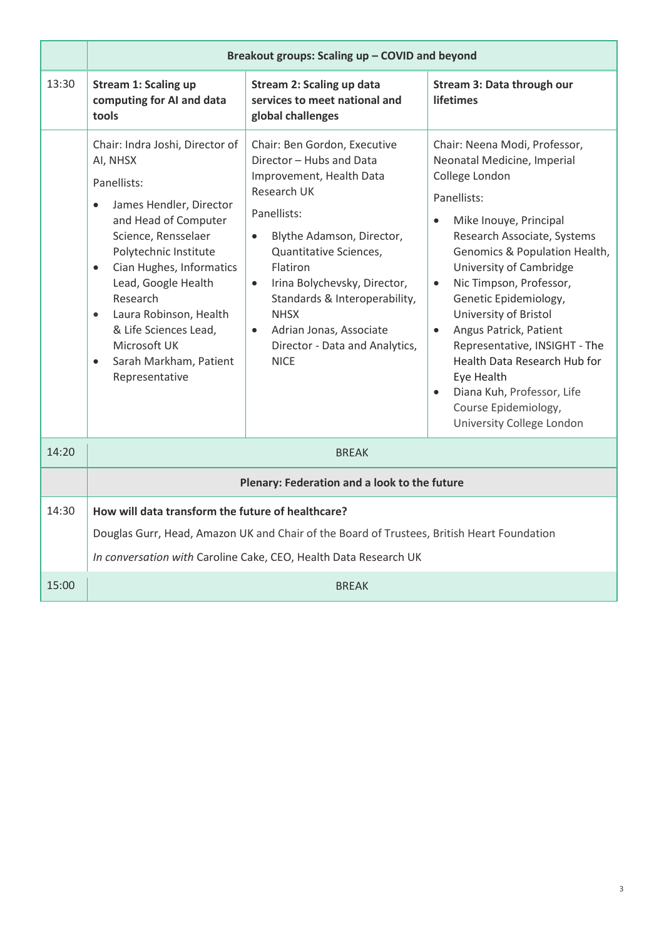|       | Breakout groups: Scaling up - COVID and beyond                                                                                                                                                                                                                                                                                                                                     |                                                                                                                                                                                                                                                                                                                                                                                                 |                                                                                                                                                                                                                                                                                                                                                                                                                                                                                                                       |  |
|-------|------------------------------------------------------------------------------------------------------------------------------------------------------------------------------------------------------------------------------------------------------------------------------------------------------------------------------------------------------------------------------------|-------------------------------------------------------------------------------------------------------------------------------------------------------------------------------------------------------------------------------------------------------------------------------------------------------------------------------------------------------------------------------------------------|-----------------------------------------------------------------------------------------------------------------------------------------------------------------------------------------------------------------------------------------------------------------------------------------------------------------------------------------------------------------------------------------------------------------------------------------------------------------------------------------------------------------------|--|
| 13:30 | <b>Stream 1: Scaling up</b><br>computing for AI and data<br>tools                                                                                                                                                                                                                                                                                                                  | <b>Stream 2: Scaling up data</b><br>services to meet national and<br>global challenges                                                                                                                                                                                                                                                                                                          | Stream 3: Data through our<br><b>lifetimes</b>                                                                                                                                                                                                                                                                                                                                                                                                                                                                        |  |
|       | Chair: Indra Joshi, Director of<br>AI, NHSX<br>Panellists:<br>James Hendler, Director<br>and Head of Computer<br>Science, Rensselaer<br>Polytechnic Institute<br>Cian Hughes, Informatics<br>$\bullet$<br>Lead, Google Health<br>Research<br>Laura Robinson, Health<br>$\bullet$<br>& Life Sciences Lead,<br>Microsoft UK<br>Sarah Markham, Patient<br>$\bullet$<br>Representative | Chair: Ben Gordon, Executive<br>Director - Hubs and Data<br>Improvement, Health Data<br>Research UK<br>Panellists:<br>Blythe Adamson, Director,<br>$\bullet$<br>Quantitative Sciences,<br><b>Flatiron</b><br>Irina Bolychevsky, Director,<br>$\bullet$<br>Standards & Interoperability,<br><b>NHSX</b><br>Adrian Jonas, Associate<br>$\bullet$<br>Director - Data and Analytics,<br><b>NICE</b> | Chair: Neena Modi, Professor,<br>Neonatal Medicine, Imperial<br>College London<br>Panellists:<br>Mike Inouye, Principal<br>Research Associate, Systems<br>Genomics & Population Health,<br>University of Cambridge<br>Nic Timpson, Professor,<br>$\bullet$<br>Genetic Epidemiology,<br>University of Bristol<br>Angus Patrick, Patient<br>$\bullet$<br>Representative, INSIGHT - The<br>Health Data Research Hub for<br>Eye Health<br>Diana Kuh, Professor, Life<br>Course Epidemiology,<br>University College London |  |
| 14:20 | <b>BREAK</b>                                                                                                                                                                                                                                                                                                                                                                       |                                                                                                                                                                                                                                                                                                                                                                                                 |                                                                                                                                                                                                                                                                                                                                                                                                                                                                                                                       |  |
|       | Plenary: Federation and a look to the future                                                                                                                                                                                                                                                                                                                                       |                                                                                                                                                                                                                                                                                                                                                                                                 |                                                                                                                                                                                                                                                                                                                                                                                                                                                                                                                       |  |
| 14:30 | How will data transform the future of healthcare?<br>Douglas Gurr, Head, Amazon UK and Chair of the Board of Trustees, British Heart Foundation<br>In conversation with Caroline Cake, CEO, Health Data Research UK                                                                                                                                                                |                                                                                                                                                                                                                                                                                                                                                                                                 |                                                                                                                                                                                                                                                                                                                                                                                                                                                                                                                       |  |
| 15:00 | <b>BREAK</b>                                                                                                                                                                                                                                                                                                                                                                       |                                                                                                                                                                                                                                                                                                                                                                                                 |                                                                                                                                                                                                                                                                                                                                                                                                                                                                                                                       |  |